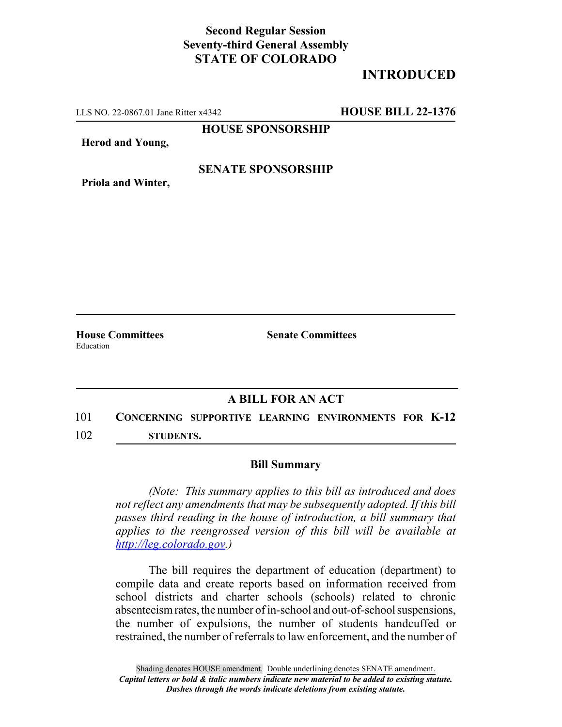## **Second Regular Session Seventy-third General Assembly STATE OF COLORADO**

## **INTRODUCED**

LLS NO. 22-0867.01 Jane Ritter x4342 **HOUSE BILL 22-1376**

**HOUSE SPONSORSHIP**

**Herod and Young,**

#### **SENATE SPONSORSHIP**

**Priola and Winter,**

**House Committees Senate Committees** Education

### **A BILL FOR AN ACT**

## 101 **CONCERNING SUPPORTIVE LEARNING ENVIRONMENTS FOR K-12** 102 **STUDENTS.**

# **Bill Summary**

*(Note: This summary applies to this bill as introduced and does not reflect any amendments that may be subsequently adopted. If this bill passes third reading in the house of introduction, a bill summary that applies to the reengrossed version of this bill will be available at http://leg.colorado.gov.)*

The bill requires the department of education (department) to compile data and create reports based on information received from school districts and charter schools (schools) related to chronic absenteeism rates, the number of in-school and out-of-school suspensions, the number of expulsions, the number of students handcuffed or restrained, the number of referrals to law enforcement, and the number of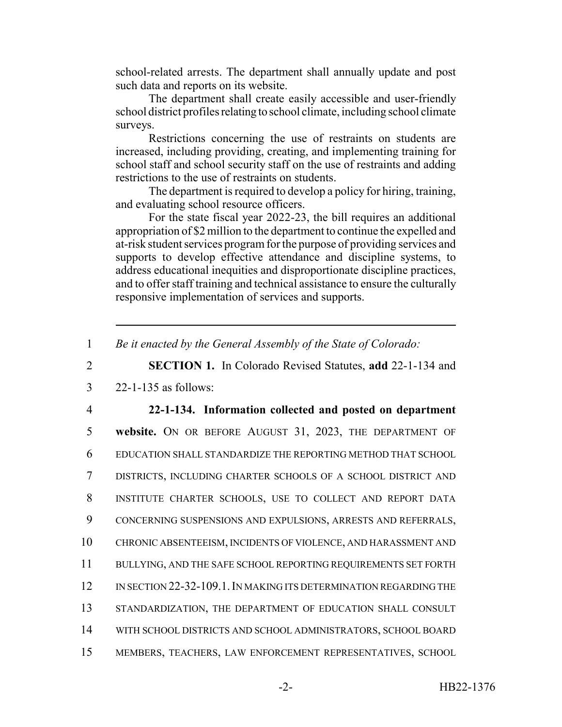school-related arrests. The department shall annually update and post such data and reports on its website.

The department shall create easily accessible and user-friendly school district profiles relating to school climate, including school climate surveys.

Restrictions concerning the use of restraints on students are increased, including providing, creating, and implementing training for school staff and school security staff on the use of restraints and adding restrictions to the use of restraints on students.

The department is required to develop a policy for hiring, training, and evaluating school resource officers.

For the state fiscal year 2022-23, the bill requires an additional appropriation of \$2 million to the department to continue the expelled and at-risk student services program for the purpose of providing services and supports to develop effective attendance and discipline systems, to address educational inequities and disproportionate discipline practices, and to offer staff training and technical assistance to ensure the culturally responsive implementation of services and supports.

1 *Be it enacted by the General Assembly of the State of Colorado:*

2 **SECTION 1.** In Colorado Revised Statutes, **add** 22-1-134 and

3 22-1-135 as follows:

 **22-1-134. Information collected and posted on department website.** ON OR BEFORE AUGUST 31, 2023, THE DEPARTMENT OF EDUCATION SHALL STANDARDIZE THE REPORTING METHOD THAT SCHOOL DISTRICTS, INCLUDING CHARTER SCHOOLS OF A SCHOOL DISTRICT AND INSTITUTE CHARTER SCHOOLS, USE TO COLLECT AND REPORT DATA CONCERNING SUSPENSIONS AND EXPULSIONS, ARRESTS AND REFERRALS, CHRONIC ABSENTEEISM, INCIDENTS OF VIOLENCE, AND HARASSMENT AND BULLYING, AND THE SAFE SCHOOL REPORTING REQUIREMENTS SET FORTH IN SECTION 22-32-109.1.IN MAKING ITS DETERMINATION REGARDING THE 13 STANDARDIZATION, THE DEPARTMENT OF EDUCATION SHALL CONSULT WITH SCHOOL DISTRICTS AND SCHOOL ADMINISTRATORS, SCHOOL BOARD MEMBERS, TEACHERS, LAW ENFORCEMENT REPRESENTATIVES, SCHOOL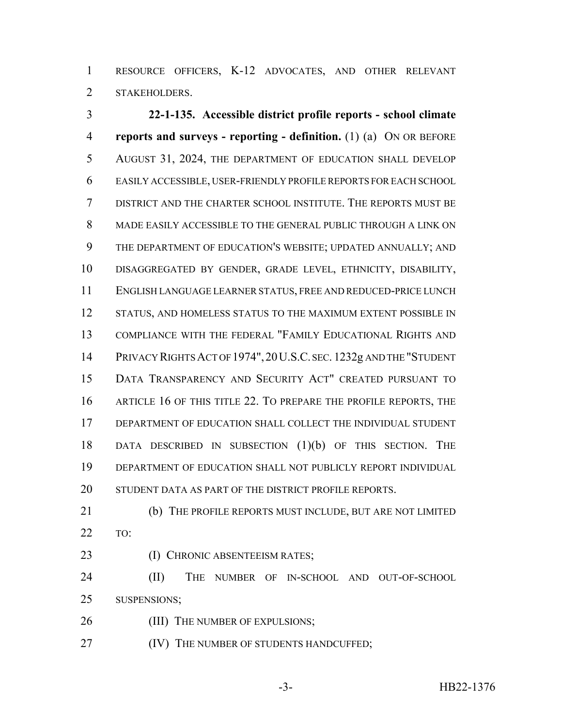RESOURCE OFFICERS, K-12 ADVOCATES, AND OTHER RELEVANT STAKEHOLDERS.

 **22-1-135. Accessible district profile reports - school climate reports and surveys - reporting - definition.** (1) (a) ON OR BEFORE 5 AUGUST 31, 2024, THE DEPARTMENT OF EDUCATION SHALL DEVELOP EASILY ACCESSIBLE, USER-FRIENDLY PROFILE REPORTS FOR EACH SCHOOL DISTRICT AND THE CHARTER SCHOOL INSTITUTE. THE REPORTS MUST BE MADE EASILY ACCESSIBLE TO THE GENERAL PUBLIC THROUGH A LINK ON THE DEPARTMENT OF EDUCATION'S WEBSITE; UPDATED ANNUALLY; AND DISAGGREGATED BY GENDER, GRADE LEVEL, ETHNICITY, DISABILITY, ENGLISH LANGUAGE LEARNER STATUS, FREE AND REDUCED-PRICE LUNCH 12 STATUS, AND HOMELESS STATUS TO THE MAXIMUM EXTENT POSSIBLE IN COMPLIANCE WITH THE FEDERAL "FAMILY EDUCATIONAL RIGHTS AND PRIVACY RIGHTS ACT OF 1974",20U.S.C. SEC. 1232g AND THE "STUDENT DATA TRANSPARENCY AND SECURITY ACT" CREATED PURSUANT TO 16 ARTICLE 16 OF THIS TITLE 22. TO PREPARE THE PROFILE REPORTS, THE DEPARTMENT OF EDUCATION SHALL COLLECT THE INDIVIDUAL STUDENT DATA DESCRIBED IN SUBSECTION (1)(b) OF THIS SECTION. THE DEPARTMENT OF EDUCATION SHALL NOT PUBLICLY REPORT INDIVIDUAL 20 STUDENT DATA AS PART OF THE DISTRICT PROFILE REPORTS.

- (b) THE PROFILE REPORTS MUST INCLUDE, BUT ARE NOT LIMITED TO:
- 

23 (I) CHRONIC ABSENTEEISM RATES;

24 (II) THE NUMBER OF IN-SCHOOL AND OUT-OF-SCHOOL SUSPENSIONS;

- 26 (III) THE NUMBER OF EXPULSIONS;
- **(IV) THE NUMBER OF STUDENTS HANDCUFFED;**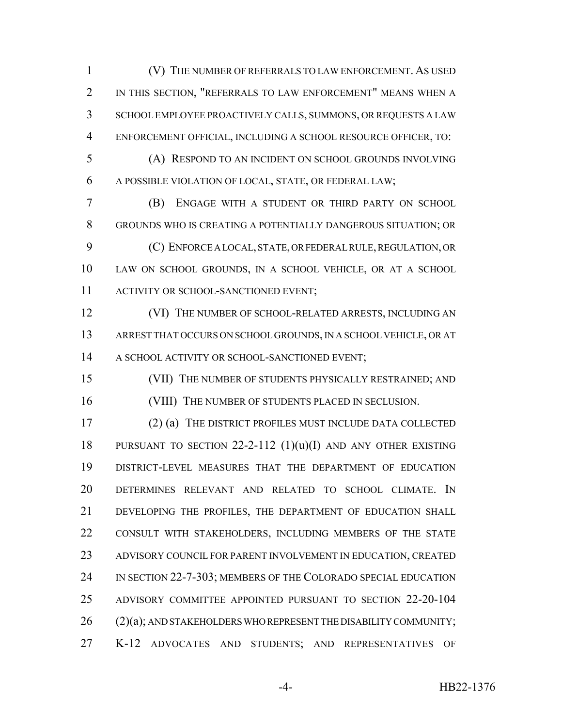(V) THE NUMBER OF REFERRALS TO LAW ENFORCEMENT. AS USED IN THIS SECTION, "REFERRALS TO LAW ENFORCEMENT" MEANS WHEN A SCHOOL EMPLOYEE PROACTIVELY CALLS, SUMMONS, OR REQUESTS A LAW ENFORCEMENT OFFICIAL, INCLUDING A SCHOOL RESOURCE OFFICER, TO:

 (A) RESPOND TO AN INCIDENT ON SCHOOL GROUNDS INVOLVING A POSSIBLE VIOLATION OF LOCAL, STATE, OR FEDERAL LAW;

 (B) ENGAGE WITH A STUDENT OR THIRD PARTY ON SCHOOL GROUNDS WHO IS CREATING A POTENTIALLY DANGEROUS SITUATION; OR (C) ENFORCE A LOCAL, STATE, OR FEDERAL RULE, REGULATION, OR LAW ON SCHOOL GROUNDS, IN A SCHOOL VEHICLE, OR AT A SCHOOL 11 ACTIVITY OR SCHOOL-SANCTIONED EVENT;

12 (VI) THE NUMBER OF SCHOOL-RELATED ARRESTS, INCLUDING AN ARREST THAT OCCURS ON SCHOOL GROUNDS, IN A SCHOOL VEHICLE, OR AT A SCHOOL ACTIVITY OR SCHOOL-SANCTIONED EVENT;

 (VII) THE NUMBER OF STUDENTS PHYSICALLY RESTRAINED; AND 16 (VIII) THE NUMBER OF STUDENTS PLACED IN SECLUSION.

 (2) (a) THE DISTRICT PROFILES MUST INCLUDE DATA COLLECTED 18 PURSUANT TO SECTION  $22-2-112$  (1)(u)(I) AND ANY OTHER EXISTING DISTRICT-LEVEL MEASURES THAT THE DEPARTMENT OF EDUCATION DETERMINES RELEVANT AND RELATED TO SCHOOL CLIMATE. IN DEVELOPING THE PROFILES, THE DEPARTMENT OF EDUCATION SHALL CONSULT WITH STAKEHOLDERS, INCLUDING MEMBERS OF THE STATE ADVISORY COUNCIL FOR PARENT INVOLVEMENT IN EDUCATION, CREATED 24 IN SECTION 22-7-303; MEMBERS OF THE COLORADO SPECIAL EDUCATION ADVISORY COMMITTEE APPOINTED PURSUANT TO SECTION 22-20-104 26 (2)(a); AND STAKEHOLDERS WHO REPRESENT THE DISABILITY COMMUNITY; K-12 ADVOCATES AND STUDENTS; AND REPRESENTATIVES OF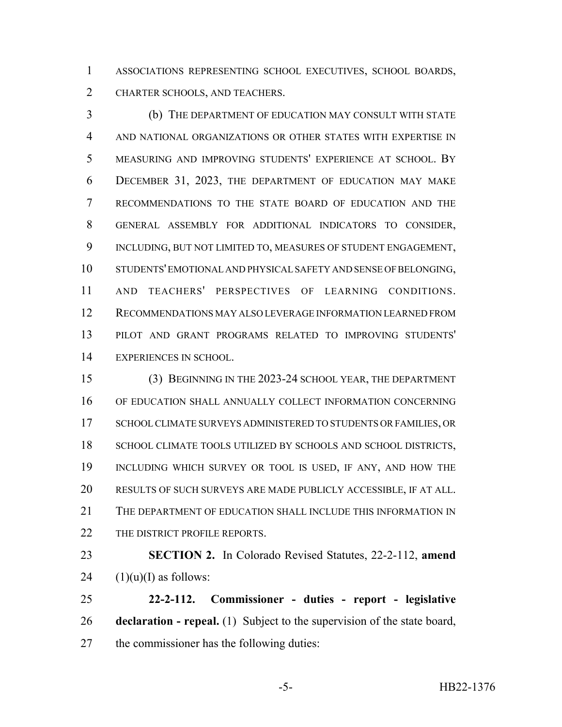ASSOCIATIONS REPRESENTING SCHOOL EXECUTIVES, SCHOOL BOARDS, CHARTER SCHOOLS, AND TEACHERS.

 (b) THE DEPARTMENT OF EDUCATION MAY CONSULT WITH STATE AND NATIONAL ORGANIZATIONS OR OTHER STATES WITH EXPERTISE IN MEASURING AND IMPROVING STUDENTS' EXPERIENCE AT SCHOOL. BY DECEMBER 31, 2023, THE DEPARTMENT OF EDUCATION MAY MAKE RECOMMENDATIONS TO THE STATE BOARD OF EDUCATION AND THE GENERAL ASSEMBLY FOR ADDITIONAL INDICATORS TO CONSIDER, INCLUDING, BUT NOT LIMITED TO, MEASURES OF STUDENT ENGAGEMENT, STUDENTS' EMOTIONAL AND PHYSICAL SAFETY AND SENSE OF BELONGING, AND TEACHERS' PERSPECTIVES OF LEARNING CONDITIONS. RECOMMENDATIONS MAY ALSO LEVERAGE INFORMATION LEARNED FROM PILOT AND GRANT PROGRAMS RELATED TO IMPROVING STUDENTS' EXPERIENCES IN SCHOOL.

 (3) BEGINNING IN THE 2023-24 SCHOOL YEAR, THE DEPARTMENT OF EDUCATION SHALL ANNUALLY COLLECT INFORMATION CONCERNING 17 SCHOOL CLIMATE SURVEYS ADMINISTERED TO STUDENTS OR FAMILIES, OR 18 SCHOOL CLIMATE TOOLS UTILIZED BY SCHOOLS AND SCHOOL DISTRICTS, INCLUDING WHICH SURVEY OR TOOL IS USED, IF ANY, AND HOW THE RESULTS OF SUCH SURVEYS ARE MADE PUBLICLY ACCESSIBLE, IF AT ALL. THE DEPARTMENT OF EDUCATION SHALL INCLUDE THIS INFORMATION IN 22 THE DISTRICT PROFILE REPORTS.

 **SECTION 2.** In Colorado Revised Statutes, 22-2-112, **amend** 24  $(1)(u)(I)$  as follows:

 **22-2-112. Commissioner - duties - report - legislative declaration - repeal.** (1) Subject to the supervision of the state board, the commissioner has the following duties: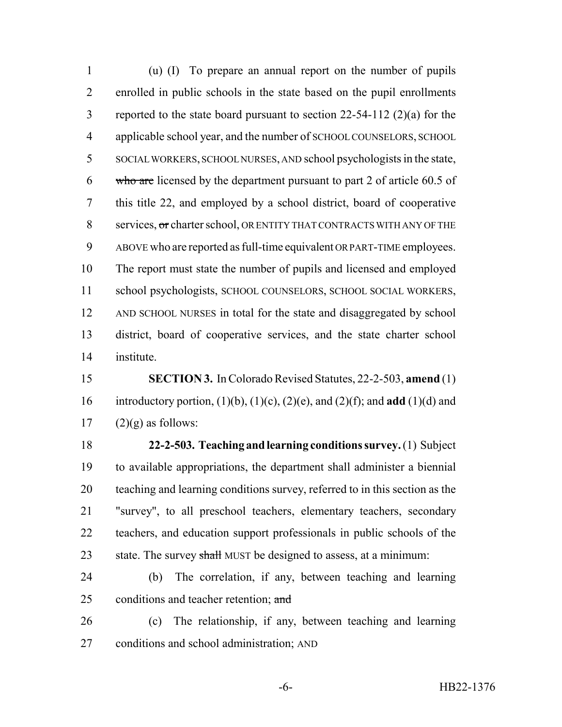(u) (I) To prepare an annual report on the number of pupils enrolled in public schools in the state based on the pupil enrollments reported to the state board pursuant to section 22-54-112 (2)(a) for the applicable school year, and the number of SCHOOL COUNSELORS, SCHOOL SOCIAL WORKERS, SCHOOL NURSES, AND school psychologists in the state, 6 who are licensed by the department pursuant to part 2 of article  $60.5$  of this title 22, and employed by a school district, board of cooperative 8 services, or charter school, OR ENTITY THAT CONTRACTS WITH ANY OF THE ABOVE who are reported as full-time equivalent OR PART-TIME employees. The report must state the number of pupils and licensed and employed school psychologists, SCHOOL COUNSELORS, SCHOOL SOCIAL WORKERS, AND SCHOOL NURSES in total for the state and disaggregated by school district, board of cooperative services, and the state charter school institute.

 **SECTION 3.** In Colorado Revised Statutes, 22-2-503, **amend** (1) introductory portion, (1)(b), (1)(c), (2)(e), and (2)(f); and **add** (1)(d) and 17  $(2)(g)$  as follows:

 **22-2-503. Teaching and learning conditions survey.** (1) Subject to available appropriations, the department shall administer a biennial teaching and learning conditions survey, referred to in this section as the "survey", to all preschool teachers, elementary teachers, secondary teachers, and education support professionals in public schools of the 23 state. The survey shall MUST be designed to assess, at a minimum:

 (b) The correlation, if any, between teaching and learning 25 conditions and teacher retention; and

 (c) The relationship, if any, between teaching and learning conditions and school administration; AND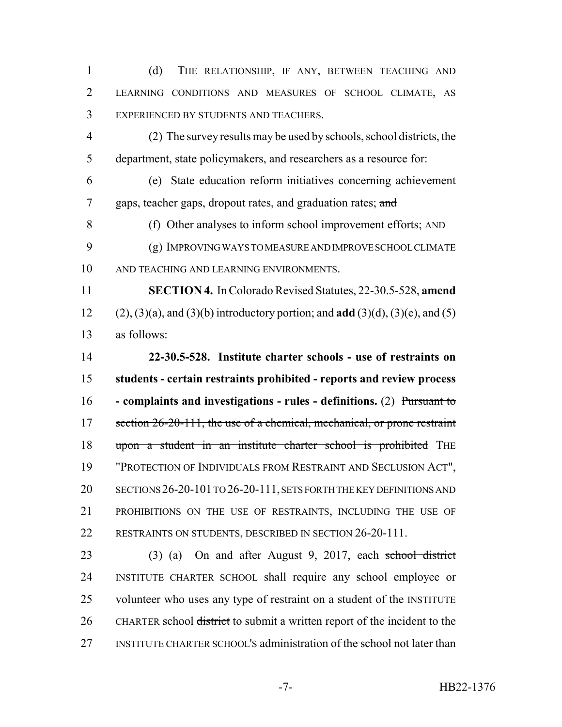(d) THE RELATIONSHIP, IF ANY, BETWEEN TEACHING AND LEARNING CONDITIONS AND MEASURES OF SCHOOL CLIMATE, AS EXPERIENCED BY STUDENTS AND TEACHERS.

 (2) The survey results may be used by schools, school districts, the department, state policymakers, and researchers as a resource for:

 (e) State education reform initiatives concerning achievement 7 gaps, teacher gaps, dropout rates, and graduation rates; and

 (f) Other analyses to inform school improvement efforts; AND (g) IMPROVING WAYS TO MEASURE AND IMPROVE SCHOOL CLIMATE AND TEACHING AND LEARNING ENVIRONMENTS.

 **SECTION 4.** In Colorado Revised Statutes, 22-30.5-528, **amend** (2), (3)(a), and (3)(b) introductory portion; and **add** (3)(d), (3)(e), and (5) as follows:

 **22-30.5-528. Institute charter schools - use of restraints on students - certain restraints prohibited - reports and review process - complaints and investigations - rules - definitions.** (2) Pursuant to 17 section 26-20-111, the use of a chemical, mechanical, or prone restraint 18 upon a student in an institute charter school is prohibited THE "PROTECTION OF INDIVIDUALS FROM RESTRAINT AND SECLUSION ACT", SECTIONS 26-20-101 TO 26-20-111, SETS FORTH THE KEY DEFINITIONS AND PROHIBITIONS ON THE USE OF RESTRAINTS, INCLUDING THE USE OF 22 RESTRAINTS ON STUDENTS, DESCRIBED IN SECTION 26-20-111.

 (3) (a) On and after August 9, 2017, each school district INSTITUTE CHARTER SCHOOL shall require any school employee or volunteer who uses any type of restraint on a student of the INSTITUTE CHARTER school district to submit a written report of the incident to the 27 INSTITUTE CHARTER SCHOOL'S administration of the school not later than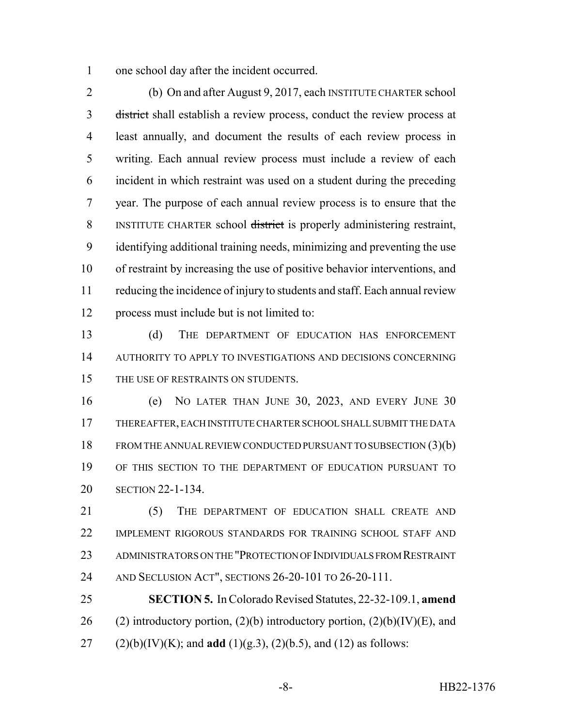one school day after the incident occurred.

 (b) On and after August 9, 2017, each INSTITUTE CHARTER school district shall establish a review process, conduct the review process at least annually, and document the results of each review process in writing. Each annual review process must include a review of each incident in which restraint was used on a student during the preceding year. The purpose of each annual review process is to ensure that the 8 INSTITUTE CHARTER school district is properly administering restraint, identifying additional training needs, minimizing and preventing the use of restraint by increasing the use of positive behavior interventions, and reducing the incidence of injury to students and staff. Each annual review process must include but is not limited to:

 (d) THE DEPARTMENT OF EDUCATION HAS ENFORCEMENT AUTHORITY TO APPLY TO INVESTIGATIONS AND DECISIONS CONCERNING 15 THE USE OF RESTRAINTS ON STUDENTS.

 (e) NO LATER THAN JUNE 30, 2023, AND EVERY JUNE 30 THEREAFTER, EACH INSTITUTE CHARTER SCHOOL SHALL SUBMIT THE DATA FROM THE ANNUAL REVIEW CONDUCTED PURSUANT TO SUBSECTION (3)(b) OF THIS SECTION TO THE DEPARTMENT OF EDUCATION PURSUANT TO SECTION 22-1-134.

21 (5) THE DEPARTMENT OF EDUCATION SHALL CREATE AND IMPLEMENT RIGOROUS STANDARDS FOR TRAINING SCHOOL STAFF AND ADMINISTRATORS ON THE "PROTECTION OF INDIVIDUALS FROM RESTRAINT AND SECLUSION ACT", SECTIONS 26-20-101 TO 26-20-111.

 **SECTION 5.** In Colorado Revised Statutes, 22-32-109.1, **amend** 26 (2) introductory portion, (2)(b) introductory portion, (2)(b)(IV)(E), and 27 (2)(b)(IV)(K); and **add** (1)(g.3), (2)(b.5), and (12) as follows: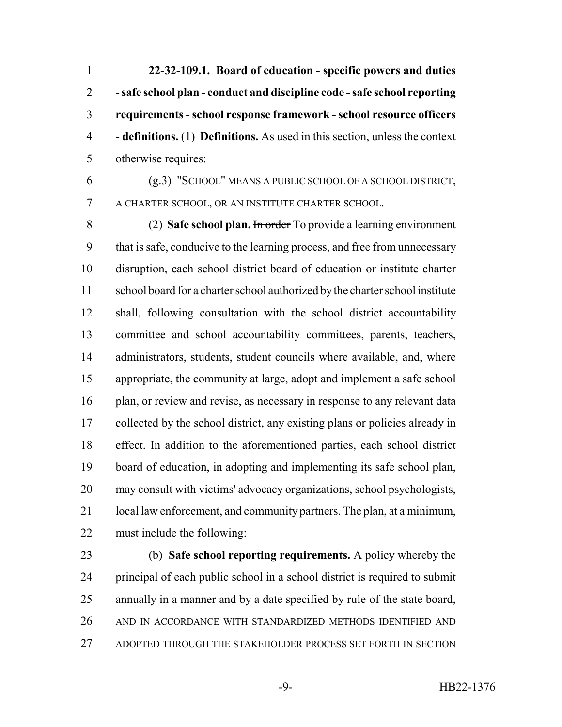**22-32-109.1. Board of education - specific powers and duties - safe school plan - conduct and discipline code - safe school reporting requirements - school response framework - school resource officers - definitions.** (1) **Definitions.** As used in this section, unless the context otherwise requires:

 (g.3) "SCHOOL" MEANS A PUBLIC SCHOOL OF A SCHOOL DISTRICT, A CHARTER SCHOOL, OR AN INSTITUTE CHARTER SCHOOL.

 (2) **Safe school plan.** In order To provide a learning environment that is safe, conducive to the learning process, and free from unnecessary disruption, each school district board of education or institute charter school board for a charter school authorized by the charter school institute shall, following consultation with the school district accountability committee and school accountability committees, parents, teachers, 14 administrators, students, student councils where available, and, where appropriate, the community at large, adopt and implement a safe school 16 plan, or review and revise, as necessary in response to any relevant data collected by the school district, any existing plans or policies already in effect. In addition to the aforementioned parties, each school district board of education, in adopting and implementing its safe school plan, may consult with victims' advocacy organizations, school psychologists, local law enforcement, and community partners. The plan, at a minimum, must include the following:

 (b) **Safe school reporting requirements.** A policy whereby the principal of each public school in a school district is required to submit annually in a manner and by a date specified by rule of the state board, AND IN ACCORDANCE WITH STANDARDIZED METHODS IDENTIFIED AND ADOPTED THROUGH THE STAKEHOLDER PROCESS SET FORTH IN SECTION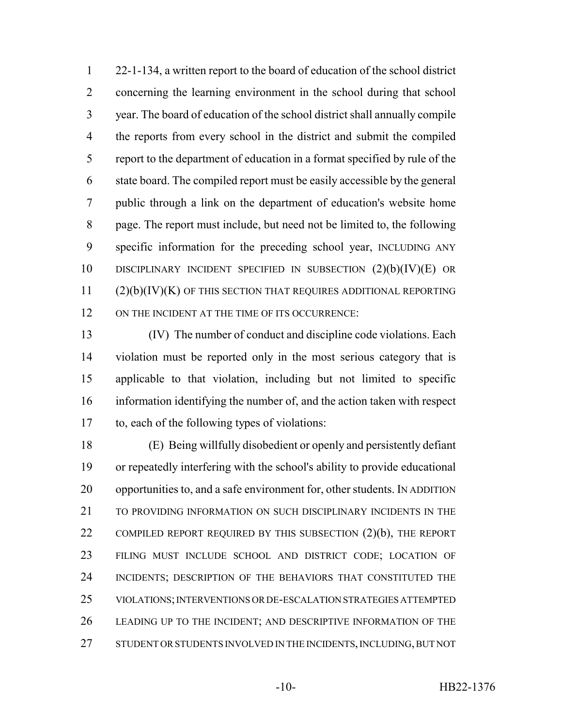22-1-134, a written report to the board of education of the school district concerning the learning environment in the school during that school year. The board of education of the school district shall annually compile the reports from every school in the district and submit the compiled report to the department of education in a format specified by rule of the state board. The compiled report must be easily accessible by the general public through a link on the department of education's website home page. The report must include, but need not be limited to, the following specific information for the preceding school year, INCLUDING ANY DISCIPLINARY INCIDENT SPECIFIED IN SUBSECTION (2)(b)(IV)(E) OR (2)(b)(IV)(K) OF THIS SECTION THAT REQUIRES ADDITIONAL REPORTING 12 ON THE INCIDENT AT THE TIME OF ITS OCCURRENCE:

 (IV) The number of conduct and discipline code violations. Each violation must be reported only in the most serious category that is applicable to that violation, including but not limited to specific information identifying the number of, and the action taken with respect to, each of the following types of violations:

 (E) Being willfully disobedient or openly and persistently defiant or repeatedly interfering with the school's ability to provide educational opportunities to, and a safe environment for, other students. IN ADDITION 21 TO PROVIDING INFORMATION ON SUCH DISCIPLINARY INCIDENTS IN THE 22 COMPILED REPORT REQUIRED BY THIS SUBSECTION (2)(b), THE REPORT FILING MUST INCLUDE SCHOOL AND DISTRICT CODE; LOCATION OF INCIDENTS; DESCRIPTION OF THE BEHAVIORS THAT CONSTITUTED THE VIOLATIONS; INTERVENTIONS OR DE-ESCALATION STRATEGIES ATTEMPTED LEADING UP TO THE INCIDENT; AND DESCRIPTIVE INFORMATION OF THE 27 STUDENT OR STUDENTS INVOLVED IN THE INCIDENTS, INCLUDING, BUT NOT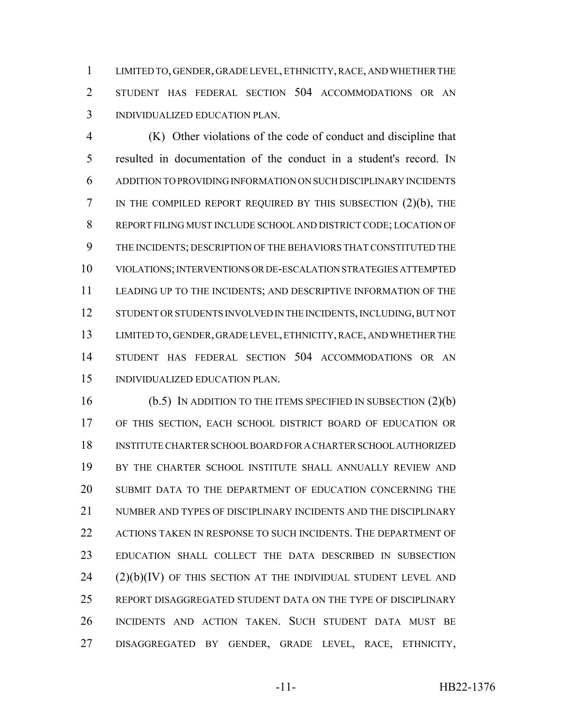LIMITED TO, GENDER, GRADE LEVEL, ETHNICITY, RACE, AND WHETHER THE STUDENT HAS FEDERAL SECTION 504 ACCOMMODATIONS OR AN INDIVIDUALIZED EDUCATION PLAN.

 (K) Other violations of the code of conduct and discipline that resulted in documentation of the conduct in a student's record. IN ADDITION TO PROVIDING INFORMATION ON SUCH DISCIPLINARY INCIDENTS IN THE COMPILED REPORT REQUIRED BY THIS SUBSECTION (2)(b), THE REPORT FILING MUST INCLUDE SCHOOL AND DISTRICT CODE; LOCATION OF THE INCIDENTS; DESCRIPTION OF THE BEHAVIORS THAT CONSTITUTED THE VIOLATIONS; INTERVENTIONS OR DE-ESCALATION STRATEGIES ATTEMPTED LEADING UP TO THE INCIDENTS; AND DESCRIPTIVE INFORMATION OF THE 12 STUDENT OR STUDENTS INVOLVED IN THE INCIDENTS, INCLUDING, BUT NOT LIMITED TO, GENDER, GRADE LEVEL, ETHNICITY, RACE, AND WHETHER THE STUDENT HAS FEDERAL SECTION 504 ACCOMMODATIONS OR AN INDIVIDUALIZED EDUCATION PLAN.

 (b.5) IN ADDITION TO THE ITEMS SPECIFIED IN SUBSECTION (2)(b) OF THIS SECTION, EACH SCHOOL DISTRICT BOARD OF EDUCATION OR INSTITUTE CHARTER SCHOOL BOARD FOR A CHARTER SCHOOL AUTHORIZED BY THE CHARTER SCHOOL INSTITUTE SHALL ANNUALLY REVIEW AND SUBMIT DATA TO THE DEPARTMENT OF EDUCATION CONCERNING THE NUMBER AND TYPES OF DISCIPLINARY INCIDENTS AND THE DISCIPLINARY 22 ACTIONS TAKEN IN RESPONSE TO SUCH INCIDENTS. THE DEPARTMENT OF EDUCATION SHALL COLLECT THE DATA DESCRIBED IN SUBSECTION (2)(b)(IV) OF THIS SECTION AT THE INDIVIDUAL STUDENT LEVEL AND REPORT DISAGGREGATED STUDENT DATA ON THE TYPE OF DISCIPLINARY INCIDENTS AND ACTION TAKEN. SUCH STUDENT DATA MUST BE DISAGGREGATED BY GENDER, GRADE LEVEL, RACE, ETHNICITY,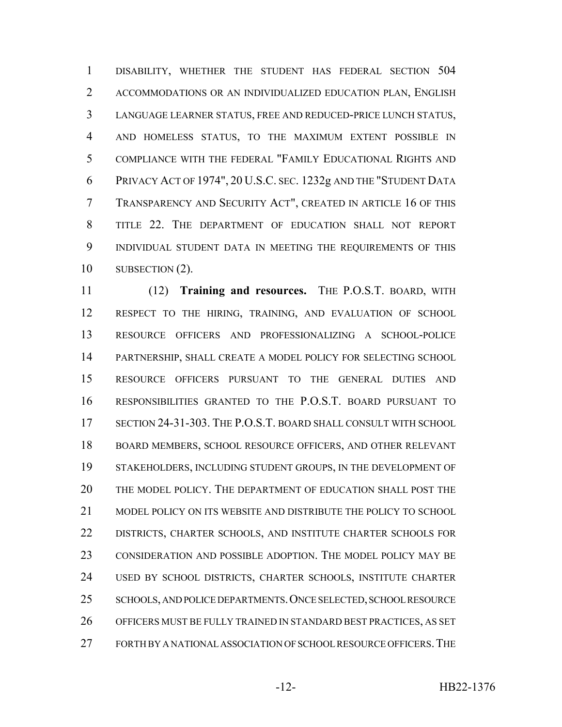DISABILITY, WHETHER THE STUDENT HAS FEDERAL SECTION 504 ACCOMMODATIONS OR AN INDIVIDUALIZED EDUCATION PLAN, ENGLISH LANGUAGE LEARNER STATUS, FREE AND REDUCED-PRICE LUNCH STATUS, AND HOMELESS STATUS, TO THE MAXIMUM EXTENT POSSIBLE IN COMPLIANCE WITH THE FEDERAL "FAMILY EDUCATIONAL RIGHTS AND PRIVACY ACT OF 1974", 20 U.S.C. SEC. 1232g AND THE "STUDENT DATA TRANSPARENCY AND SECURITY ACT", CREATED IN ARTICLE 16 OF THIS TITLE 22. THE DEPARTMENT OF EDUCATION SHALL NOT REPORT INDIVIDUAL STUDENT DATA IN MEETING THE REQUIREMENTS OF THIS 10 SUBSECTION (2).

 (12) **Training and resources.** THE P.O.S.T. BOARD, WITH RESPECT TO THE HIRING, TRAINING, AND EVALUATION OF SCHOOL RESOURCE OFFICERS AND PROFESSIONALIZING A SCHOOL-POLICE PARTNERSHIP, SHALL CREATE A MODEL POLICY FOR SELECTING SCHOOL RESOURCE OFFICERS PURSUANT TO THE GENERAL DUTIES AND RESPONSIBILITIES GRANTED TO THE P.O.S.T. BOARD PURSUANT TO SECTION 24-31-303. THE P.O.S.T. BOARD SHALL CONSULT WITH SCHOOL BOARD MEMBERS, SCHOOL RESOURCE OFFICERS, AND OTHER RELEVANT STAKEHOLDERS, INCLUDING STUDENT GROUPS, IN THE DEVELOPMENT OF THE MODEL POLICY. THE DEPARTMENT OF EDUCATION SHALL POST THE MODEL POLICY ON ITS WEBSITE AND DISTRIBUTE THE POLICY TO SCHOOL DISTRICTS, CHARTER SCHOOLS, AND INSTITUTE CHARTER SCHOOLS FOR CONSIDERATION AND POSSIBLE ADOPTION. THE MODEL POLICY MAY BE USED BY SCHOOL DISTRICTS, CHARTER SCHOOLS, INSTITUTE CHARTER SCHOOLS, AND POLICE DEPARTMENTS.ONCE SELECTED, SCHOOL RESOURCE OFFICERS MUST BE FULLY TRAINED IN STANDARD BEST PRACTICES, AS SET FORTH BY A NATIONAL ASSOCIATION OF SCHOOL RESOURCE OFFICERS.THE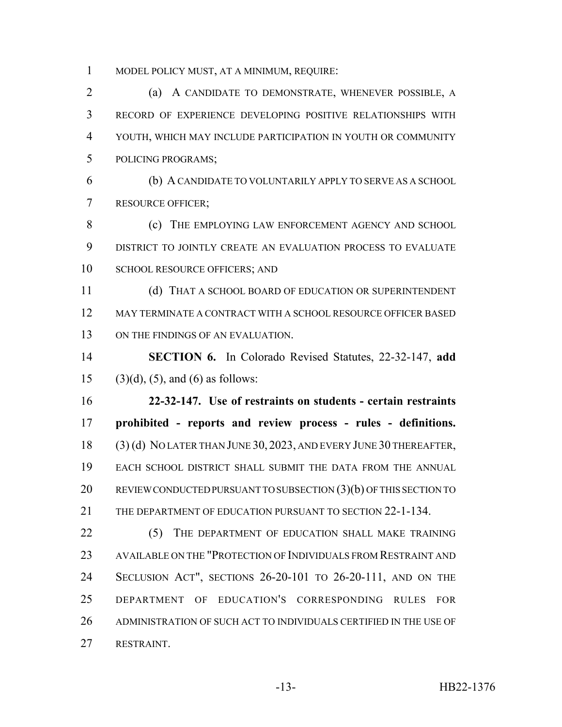MODEL POLICY MUST, AT A MINIMUM, REQUIRE:

 (a) A CANDIDATE TO DEMONSTRATE, WHENEVER POSSIBLE, A RECORD OF EXPERIENCE DEVELOPING POSITIVE RELATIONSHIPS WITH YOUTH, WHICH MAY INCLUDE PARTICIPATION IN YOUTH OR COMMUNITY POLICING PROGRAMS;

 (b) A CANDIDATE TO VOLUNTARILY APPLY TO SERVE AS A SCHOOL RESOURCE OFFICER;

8 (c) THE EMPLOYING LAW ENFORCEMENT AGENCY AND SCHOOL DISTRICT TO JOINTLY CREATE AN EVALUATION PROCESS TO EVALUATE 10 SCHOOL RESOURCE OFFICERS: AND

 (d) THAT A SCHOOL BOARD OF EDUCATION OR SUPERINTENDENT MAY TERMINATE A CONTRACT WITH A SCHOOL RESOURCE OFFICER BASED 13 ON THE FINDINGS OF AN EVALUATION.

 **SECTION 6.** In Colorado Revised Statutes, 22-32-147, **add** 15 (3)(d), (5), and (6) as follows:

 **22-32-147. Use of restraints on students - certain restraints prohibited - reports and review process - rules - definitions.** (3) (d) NO LATER THAN JUNE 30, 2023, AND EVERY JUNE 30 THEREAFTER, EACH SCHOOL DISTRICT SHALL SUBMIT THE DATA FROM THE ANNUAL 20 REVIEW CONDUCTED PURSUANT TO SUBSECTION (3)(b) OF THIS SECTION TO THE DEPARTMENT OF EDUCATION PURSUANT TO SECTION 22-1-134.

22 (5) THE DEPARTMENT OF EDUCATION SHALL MAKE TRAINING AVAILABLE ON THE "PROTECTION OF INDIVIDUALS FROM RESTRAINT AND SECLUSION ACT", SECTIONS 26-20-101 TO 26-20-111, AND ON THE DEPARTMENT OF EDUCATION'S CORRESPONDING RULES FOR ADMINISTRATION OF SUCH ACT TO INDIVIDUALS CERTIFIED IN THE USE OF RESTRAINT.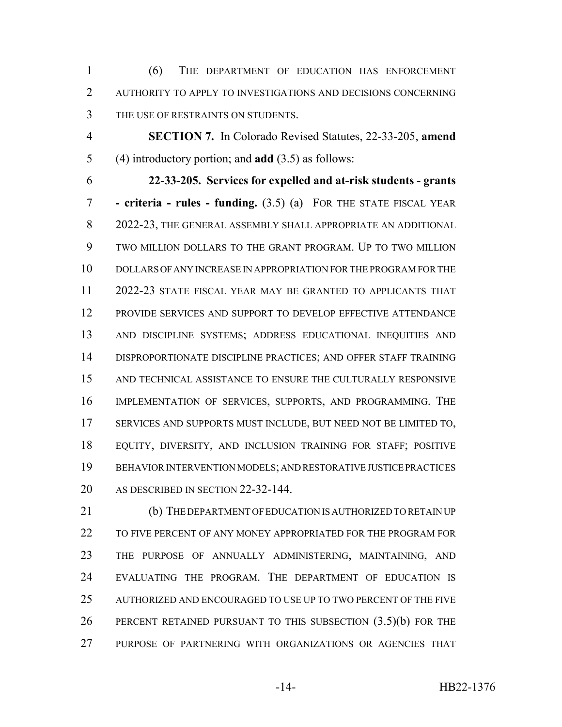(6) THE DEPARTMENT OF EDUCATION HAS ENFORCEMENT AUTHORITY TO APPLY TO INVESTIGATIONS AND DECISIONS CONCERNING THE USE OF RESTRAINTS ON STUDENTS.

 **SECTION 7.** In Colorado Revised Statutes, 22-33-205, **amend** (4) introductory portion; and **add** (3.5) as follows:

 **22-33-205. Services for expelled and at-risk students - grants - criteria - rules - funding.** (3.5) (a) FOR THE STATE FISCAL YEAR 2022-23, THE GENERAL ASSEMBLY SHALL APPROPRIATE AN ADDITIONAL TWO MILLION DOLLARS TO THE GRANT PROGRAM. UP TO TWO MILLION DOLLARS OF ANY INCREASE IN APPROPRIATION FOR THE PROGRAM FOR THE 2022-23 STATE FISCAL YEAR MAY BE GRANTED TO APPLICANTS THAT PROVIDE SERVICES AND SUPPORT TO DEVELOP EFFECTIVE ATTENDANCE AND DISCIPLINE SYSTEMS; ADDRESS EDUCATIONAL INEQUITIES AND DISPROPORTIONATE DISCIPLINE PRACTICES; AND OFFER STAFF TRAINING AND TECHNICAL ASSISTANCE TO ENSURE THE CULTURALLY RESPONSIVE IMPLEMENTATION OF SERVICES, SUPPORTS, AND PROGRAMMING. THE SERVICES AND SUPPORTS MUST INCLUDE, BUT NEED NOT BE LIMITED TO, EQUITY, DIVERSITY, AND INCLUSION TRAINING FOR STAFF; POSITIVE BEHAVIOR INTERVENTION MODELS; AND RESTORATIVE JUSTICE PRACTICES 20 AS DESCRIBED IN SECTION 22-32-144.

 (b) THE DEPARTMENT OF EDUCATION IS AUTHORIZED TO RETAIN UP 22 TO FIVE PERCENT OF ANY MONEY APPROPRIATED FOR THE PROGRAM FOR THE PURPOSE OF ANNUALLY ADMINISTERING, MAINTAINING, AND EVALUATING THE PROGRAM. THE DEPARTMENT OF EDUCATION IS AUTHORIZED AND ENCOURAGED TO USE UP TO TWO PERCENT OF THE FIVE PERCENT RETAINED PURSUANT TO THIS SUBSECTION (3.5)(b) FOR THE PURPOSE OF PARTNERING WITH ORGANIZATIONS OR AGENCIES THAT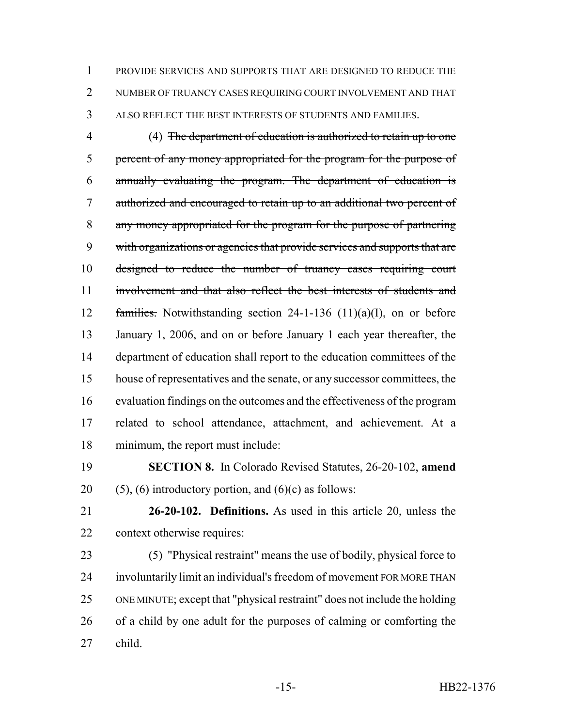PROVIDE SERVICES AND SUPPORTS THAT ARE DESIGNED TO REDUCE THE NUMBER OF TRUANCY CASES REQUIRING COURT INVOLVEMENT AND THAT ALSO REFLECT THE BEST INTERESTS OF STUDENTS AND FAMILIES.

 (4) The department of education is authorized to retain up to one percent of any money appropriated for the program for the purpose of annually evaluating the program. The department of education is authorized and encouraged to retain up to an additional two percent of any money appropriated for the program for the purpose of partnering 9 with organizations or agencies that provide services and supports that are 10 designed to reduce the number of truancy cases requiring court involvement and that also reflect the best interests of students and families. Notwithstanding section 24-1-136 (11)(a)(I), on or before January 1, 2006, and on or before January 1 each year thereafter, the department of education shall report to the education committees of the house of representatives and the senate, or any successor committees, the evaluation findings on the outcomes and the effectiveness of the program related to school attendance, attachment, and achievement. At a minimum, the report must include:

- **SECTION 8.** In Colorado Revised Statutes, 26-20-102, **amend** 20 (5), (6) introductory portion, and  $(6)(c)$  as follows:
- 

 **26-20-102. Definitions.** As used in this article 20, unless the context otherwise requires:

 (5) "Physical restraint" means the use of bodily, physical force to involuntarily limit an individual's freedom of movement FOR MORE THAN ONE MINUTE; except that "physical restraint" does not include the holding of a child by one adult for the purposes of calming or comforting the child.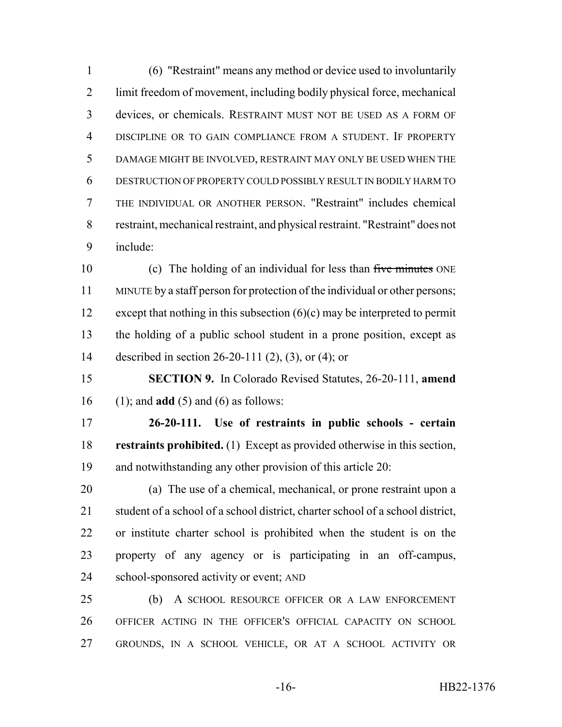(6) "Restraint" means any method or device used to involuntarily limit freedom of movement, including bodily physical force, mechanical devices, or chemicals. RESTRAINT MUST NOT BE USED AS A FORM OF DISCIPLINE OR TO GAIN COMPLIANCE FROM A STUDENT. IF PROPERTY DAMAGE MIGHT BE INVOLVED, RESTRAINT MAY ONLY BE USED WHEN THE DESTRUCTION OF PROPERTY COULD POSSIBLY RESULT IN BODILY HARM TO THE INDIVIDUAL OR ANOTHER PERSON. "Restraint" includes chemical restraint, mechanical restraint, and physical restraint. "Restraint" does not include:

10 (c) The holding of an individual for less than five minutes ONE MINUTE by a staff person for protection of the individual or other persons; 12 except that nothing in this subsection  $(6)(c)$  may be interpreted to permit the holding of a public school student in a prone position, except as described in section 26-20-111 (2), (3), or (4); or

 **SECTION 9.** In Colorado Revised Statutes, 26-20-111, **amend** (1); and **add** (5) and (6) as follows:

 **26-20-111. Use of restraints in public schools - certain restraints prohibited.** (1) Except as provided otherwise in this section, and notwithstanding any other provision of this article 20:

 (a) The use of a chemical, mechanical, or prone restraint upon a student of a school of a school district, charter school of a school district, or institute charter school is prohibited when the student is on the property of any agency or is participating in an off-campus, school-sponsored activity or event; AND

 (b) A SCHOOL RESOURCE OFFICER OR A LAW ENFORCEMENT OFFICER ACTING IN THE OFFICER'S OFFICIAL CAPACITY ON SCHOOL GROUNDS, IN A SCHOOL VEHICLE, OR AT A SCHOOL ACTIVITY OR